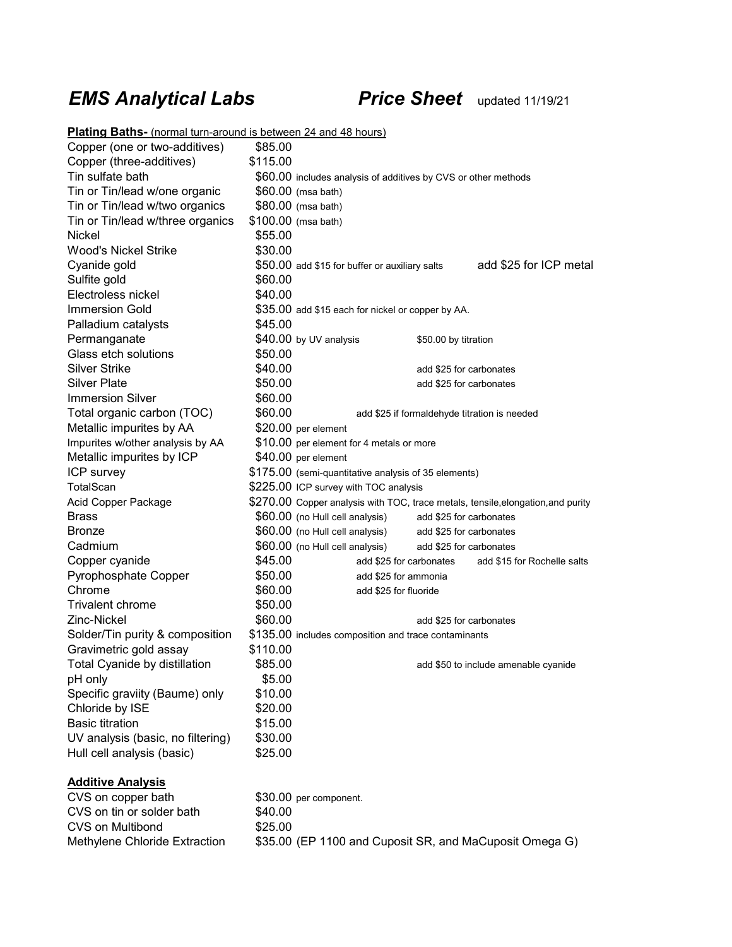# *EMS Analytical Labs Price Sheet* updated 11/19/21

| <b>Plating Baths-</b> (normal turn-around is between 24 and 48 hours) |          |                                                                                  |  |  |  |
|-----------------------------------------------------------------------|----------|----------------------------------------------------------------------------------|--|--|--|
| Copper (one or two-additives)                                         | \$85.00  |                                                                                  |  |  |  |
| Copper (three-additives)                                              | \$115.00 |                                                                                  |  |  |  |
| Tin sulfate bath                                                      |          | \$60.00 includes analysis of additives by CVS or other methods                   |  |  |  |
| Tin or Tin/lead w/one organic                                         |          | $$60.00$ (msa bath)                                                              |  |  |  |
| Tin or Tin/lead w/two organics                                        |          | \$80.00 (msa bath)                                                               |  |  |  |
| Tin or Tin/lead w/three organics                                      |          | \$100.00 (msa bath)                                                              |  |  |  |
| Nickel                                                                | \$55.00  |                                                                                  |  |  |  |
| <b>Wood's Nickel Strike</b>                                           | \$30.00  |                                                                                  |  |  |  |
| Cyanide gold                                                          |          | add \$25 for ICP metal<br>\$50.00 add \$15 for buffer or auxiliary salts         |  |  |  |
| Sulfite gold                                                          | \$60.00  |                                                                                  |  |  |  |
| Electroless nickel                                                    | \$40.00  |                                                                                  |  |  |  |
| Immersion Gold                                                        |          | \$35.00 add \$15 each for nickel or copper by AA.                                |  |  |  |
| Palladium catalysts                                                   | \$45.00  |                                                                                  |  |  |  |
| Permanganate                                                          |          | \$40.00 by UV analysis<br>\$50.00 by titration                                   |  |  |  |
| Glass etch solutions                                                  | \$50.00  |                                                                                  |  |  |  |
| <b>Silver Strike</b>                                                  | \$40.00  | add \$25 for carbonates                                                          |  |  |  |
| <b>Silver Plate</b>                                                   | \$50.00  | add \$25 for carbonates                                                          |  |  |  |
| <b>Immersion Silver</b>                                               | \$60.00  |                                                                                  |  |  |  |
| Total organic carbon (TOC)                                            | \$60.00  | add \$25 if formaldehyde titration is needed                                     |  |  |  |
| Metallic impurites by AA                                              |          | \$20.00 per element                                                              |  |  |  |
| Impurites w/other analysis by AA                                      |          | \$10.00 per element for 4 metals or more                                         |  |  |  |
| Metallic impurites by ICP                                             |          | \$40.00 per element                                                              |  |  |  |
| ICP survey                                                            |          | \$175.00 (semi-quantitative analysis of 35 elements)                             |  |  |  |
| TotalScan                                                             |          | \$225.00 ICP survey with TOC analysis                                            |  |  |  |
| Acid Copper Package                                                   |          | \$270.00 Copper analysis with TOC, trace metals, tensile, elongation, and purity |  |  |  |
| <b>Brass</b>                                                          |          | \$60.00 (no Hull cell analysis) add \$25 for carbonates                          |  |  |  |
| Bronze                                                                |          | \$60.00 (no Hull cell analysis)<br>add \$25 for carbonates                       |  |  |  |
| Cadmium                                                               |          | \$60.00 (no Hull cell analysis)<br>add \$25 for carbonates                       |  |  |  |
| Copper cyanide                                                        | \$45.00  | add \$15 for Rochelle salts<br>add \$25 for carbonates                           |  |  |  |
| Pyrophosphate Copper                                                  | \$50.00  | add \$25 for ammonia                                                             |  |  |  |
| Chrome                                                                | \$60.00  | add \$25 for fluoride                                                            |  |  |  |
| <b>Trivalent chrome</b>                                               | \$50.00  |                                                                                  |  |  |  |
| Zinc-Nickel                                                           | \$60.00  | add \$25 for carbonates                                                          |  |  |  |
| Solder/Tin purity & composition                                       |          | \$135.00 includes composition and trace contaminants                             |  |  |  |
| Gravimetric gold assay                                                | \$110.00 |                                                                                  |  |  |  |
| Total Cyanide by distillation                                         | \$85.00  | add \$50 to include amenable cyanide                                             |  |  |  |
| pH only                                                               | \$5.00   |                                                                                  |  |  |  |
| Specific graviity (Baume) only                                        | \$10.00  |                                                                                  |  |  |  |
| Chloride by ISE                                                       | \$20.00  |                                                                                  |  |  |  |
| <b>Basic titration</b>                                                | \$15.00  |                                                                                  |  |  |  |
| UV analysis (basic, no filtering)                                     | \$30.00  |                                                                                  |  |  |  |
| Hull cell analysis (basic)                                            | \$25.00  |                                                                                  |  |  |  |
| <b>Additive Analysis</b>                                              |          |                                                                                  |  |  |  |
| CVS on copper bath                                                    |          | \$30.00 per component.                                                           |  |  |  |
| CVS on tin or solder bath                                             | \$40.00  |                                                                                  |  |  |  |
| <b>CVS on Multibond</b>                                               | \$25.00  |                                                                                  |  |  |  |
| Methylene Chloride Extraction                                         |          | \$35.00 (EP 1100 and Cuposit SR, and MaCuposit Omega G)                          |  |  |  |